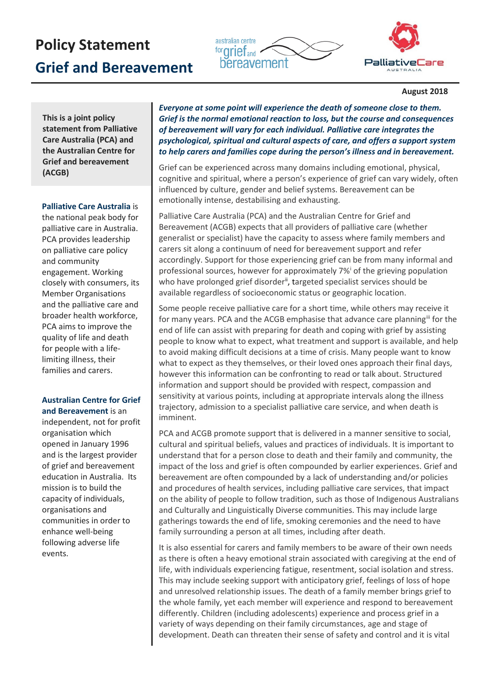# **Policy Statement Grief and Bereavement**





#### **August 2018**

**This is a joint policy statement from Palliative Care Australia (PCA) and the Australian Centre for Grief and bereavement (ACGB)**

### **Palliative Care Australia** is

the national peak body for palliative care in Australia. PCA provides leadership on palliative care policy and community engagement. Working closely with consumers, its Member Organisations and the palliative care and broader health workforce, PCA aims to improve the quality of life and death for people with a lifelimiting illness, their families and carers.

## **Australian Centre for Grief**

**and Bereavement** is an independent, not for profit organisation which opened in January 1996 and is the largest provider of grief and bereavement education in Australia. Its mission is to build the capacity of individuals, organisations and communities in order to enhance well-being following adverse life events.

*Everyone at some point will experience the death of someone close to them. Grief is the normal emotional reaction to loss, but the course and consequences of bereavement will vary for each individual. Palliative care integrates the psychological, spiritual and cultural aspects of care, and offers a support system to help carers and families cope during the person's illness and in bereavement.* 

Grief can be experienced across many domains including emotional, physical, cognitive and spiritual, where a person's experience of grief can vary widely, often influenced by culture, gender and belief systems. Bereavement can be emotionally intense, destabilising and exhausting.

Palliative Care Australia (PCA) and the Australian Centre for Grief and Bereavement (ACGB) expects that all providers of palliative care (whether generalist or specialist) have the capacity to assess where family members and carers sit along a continuum of need for bereavement support and refer accordingly. Support for those experiencing grief can be from many informal and profess[i](#page-1-0)onal sources, however for approximately 7%<sup>i</sup> of the grieving population who have prolonged grief disorder<sup>[ii](#page-1-1)</sup>, targeted specialist services should be available regardless of socioeconomic status or geographic location.

Some people receive palliative care for a short time, while others may receive it for many years. PCA and the ACGB emphasise that advance care planning<sup>iii</sup> for the end of life can assist with preparing for death and coping with grief by assisting people to know what to expect, what treatment and support is available, and help to avoid making difficult decisions at a time of crisis. Many people want to know what to expect as they themselves, or their loved ones approach their final days, however this information can be confronting to read or talk about. Structured information and support should be provided with respect, compassion and sensitivity at various points, including at appropriate intervals along the illness trajectory, admission to a specialist palliative care service, and when death is imminent.

PCA and ACGB promote support that is delivered in a manner sensitive to social, cultural and spiritual beliefs, values and practices of individuals. It is important to understand that for a person close to death and their family and community, the impact of the loss and grief is often compounded by earlier experiences. Grief and bereavement are often compounded by a lack of understanding and/or policies and procedures of health services, including palliative care services, that impact on the ability of people to follow tradition, such as those of Indigenous Australians and Culturally and Linguistically Diverse communities. This may include large gatherings towards the end of life, smoking ceremonies and the need to have family surrounding a person at all times, including after death.

It is also essential for carers and family members to be aware of their own needs as there is often a heavy emotional strain associated with caregiving at the end of life, with individuals experiencing fatigue, resentment, social isolation and stress. This may include seeking support with anticipatory grief, feelings of loss of hope and unresolved relationship issues. The death of a family member brings grief to the whole family, yet each member will experience and respond to bereavement differently. Children (including adolescents) experience and process grief in a variety of ways depending on their family circumstances, age and stage of development. Death can threaten their sense of safety and control and it is vital